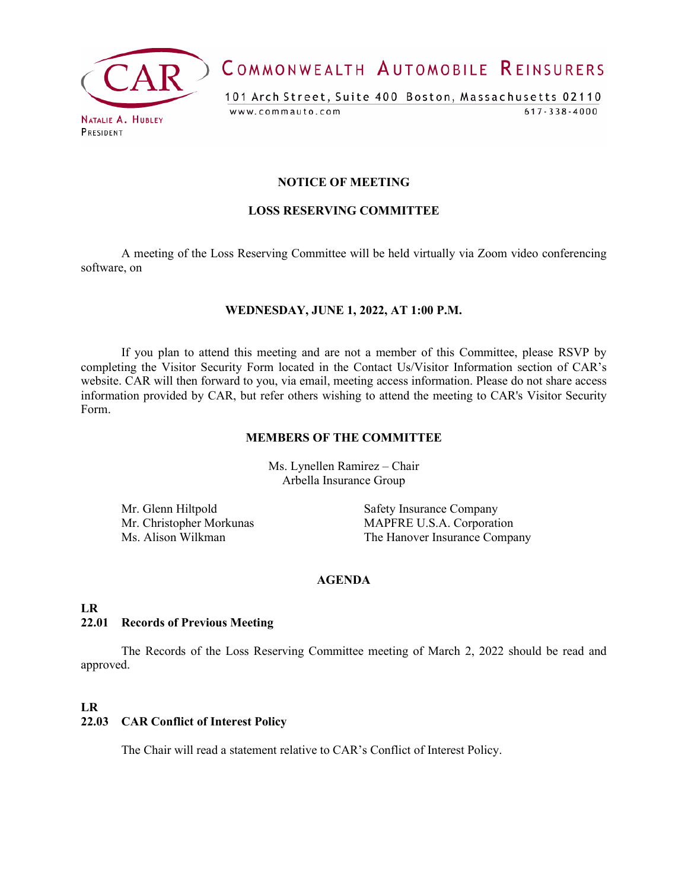

COMMONWEALTH AUTOMOBILE REINSURERS

101 Arch Street, Suite 400 Boston, Massachusetts 02110 www.commauto.com  $617 - 338 - 4000$ 

PRESIDENT

# **NOTICE OF MEETING**

# **LOSS RESERVING COMMITTEE**

A meeting of the Loss Reserving Committee will be held virtually via Zoom video conferencing software, on

## **WEDNESDAY, JUNE 1, 2022, AT 1:00 P.M.**

If you plan to attend this meeting and are not a member of this Committee, please RSVP by completing the Visitor Security Form located in the Contact Us/Visitor Information section of CAR's website. CAR will then forward to you, via email, meeting access information. Please do not share access information provided by CAR, but refer others wishing to attend the meeting to CAR's Visitor Security Form.

## **MEMBERS OF THE COMMITTEE**

Ms. Lynellen Ramirez – Chair Arbella Insurance Group

Mr. Glenn Hiltpold Safety Insurance Company Mr. Christopher Morkunas<br>
MAPFRE U.S.A. Corporation<br>
Ms. Alison Wilkman<br>
Ms. Alison Wilkman The Hanover Insurance Company

## **AGENDA**

#### **LR**

# **22.01 Records of Previous Meeting**

The Records of the Loss Reserving Committee meeting of March 2, 2022 should be read and approved.

#### **LR**

# **22.03 CAR Conflict of Interest Policy**

The Chair will read a statement relative to CAR's Conflict of Interest Policy.